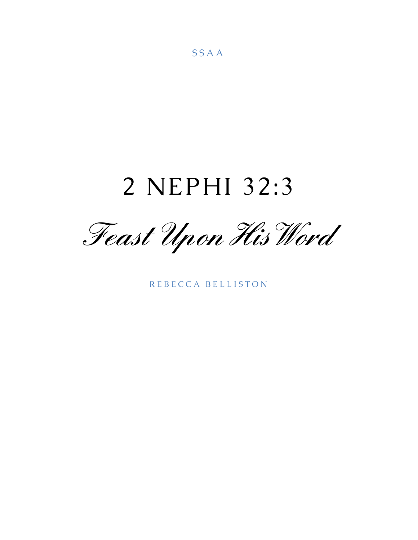## 2 NEPHI 32:3

Feast Upon His Word

REBECCA BELLISTON

**SSAA**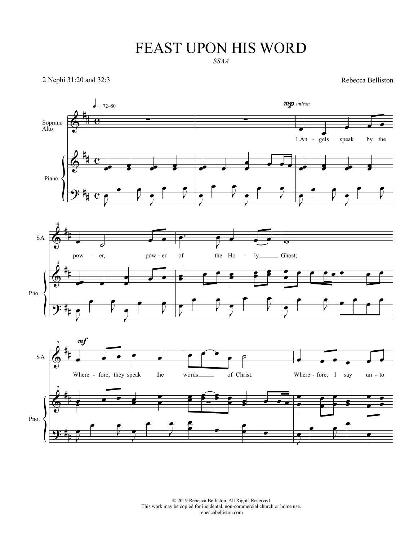## FEAST UPON HIS WORD

2 Nephi 31:20 and 32:3 Rebecca Belliston



*SSAA*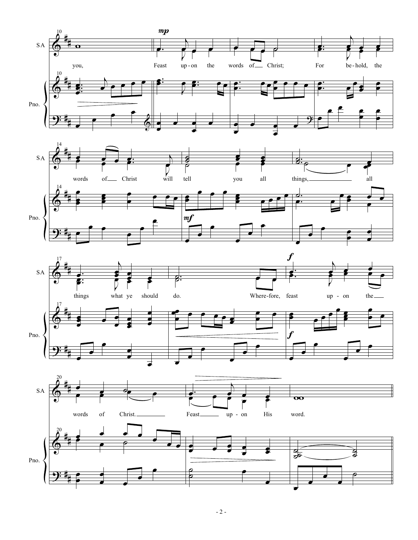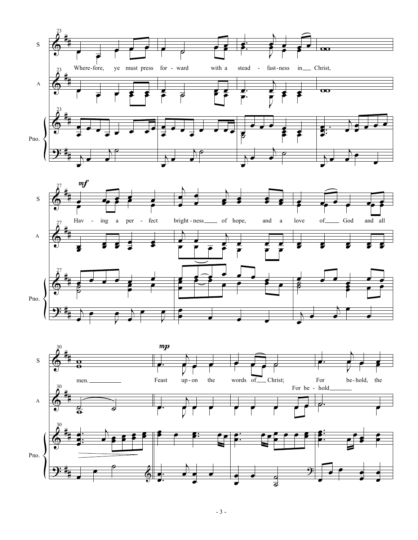



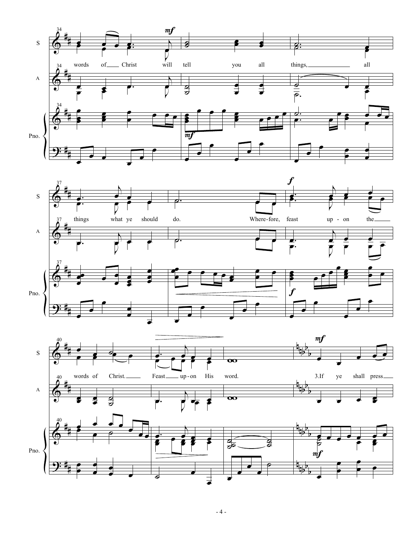



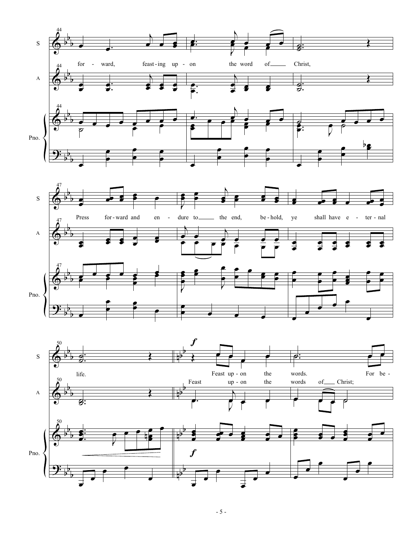





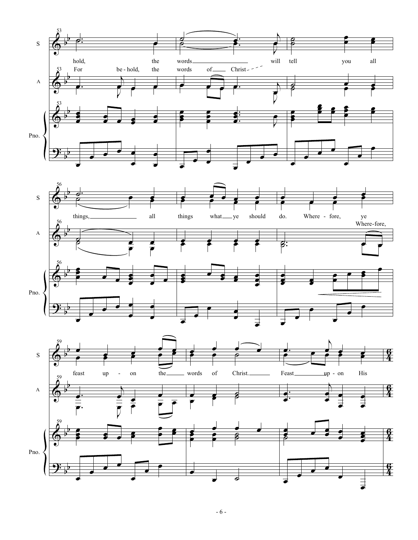



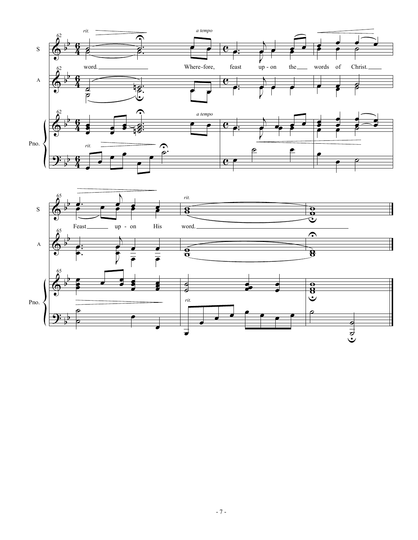